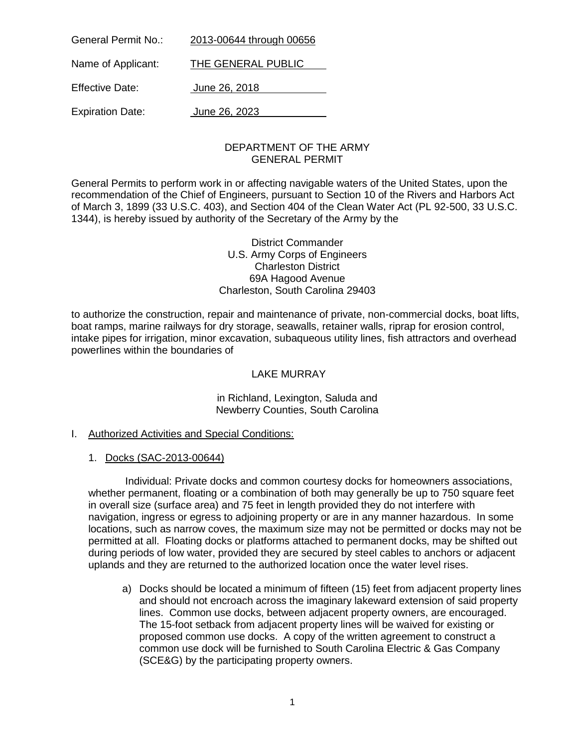| General Permit No.:     | 2013-00644 through 00656 |
|-------------------------|--------------------------|
| Name of Applicant:      | THE GENERAL PUBLIC       |
| <b>Effective Date:</b>  | June 26, 2018            |
| <b>Expiration Date:</b> | June 26, 2023            |

### DEPARTMENT OF THE ARMY GENERAL PERMIT

General Permits to perform work in or affecting navigable waters of the United States, upon the recommendation of the Chief of Engineers, pursuant to Section 10 of the Rivers and Harbors Act of March 3, 1899 (33 U.S.C. 403), and Section 404 of the Clean Water Act (PL 92-500, 33 U.S.C. 1344), is hereby issued by authority of the Secretary of the Army by the

> District Commander U.S. Army Corps of Engineers Charleston District 69A Hagood Avenue Charleston, South Carolina 29403

to authorize the construction, repair and maintenance of private, non-commercial docks, boat lifts, boat ramps, marine railways for dry storage, seawalls, retainer walls, riprap for erosion control, intake pipes for irrigation, minor excavation, subaqueous utility lines, fish attractors and overhead powerlines within the boundaries of

# LAKE MURRAY

in Richland, Lexington, Saluda and Newberry Counties, South Carolina

# I. Authorized Activities and Special Conditions:

# 1. Docks (SAC-2013-00644)

Individual: Private docks and common courtesy docks for homeowners associations, whether permanent, floating or a combination of both may generally be up to 750 square feet in overall size (surface area) and 75 feet in length provided they do not interfere with navigation, ingress or egress to adjoining property or are in any manner hazardous. In some locations, such as narrow coves, the maximum size may not be permitted or docks may not be permitted at all. Floating docks or platforms attached to permanent docks, may be shifted out during periods of low water, provided they are secured by steel cables to anchors or adjacent uplands and they are returned to the authorized location once the water level rises.

a) Docks should be located a minimum of fifteen (15) feet from adjacent property lines and should not encroach across the imaginary lakeward extension of said property lines. Common use docks, between adjacent property owners, are encouraged. The 15-foot setback from adjacent property lines will be waived for existing or proposed common use docks. A copy of the written agreement to construct a common use dock will be furnished to South Carolina Electric & Gas Company (SCE&G) by the participating property owners.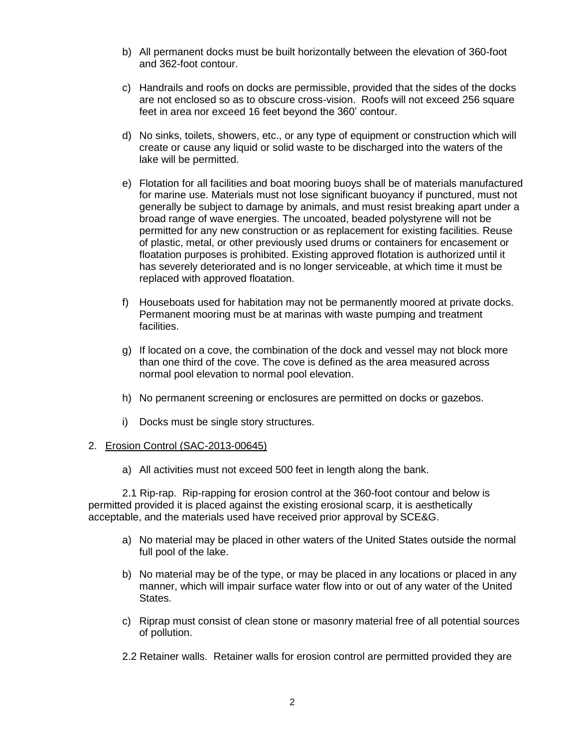- b) All permanent docks must be built horizontally between the elevation of 360-foot and 362-foot contour.
- c) Handrails and roofs on docks are permissible, provided that the sides of the docks are not enclosed so as to obscure cross-vision. Roofs will not exceed 256 square feet in area nor exceed 16 feet beyond the 360' contour.
- d) No sinks, toilets, showers, etc., or any type of equipment or construction which will create or cause any liquid or solid waste to be discharged into the waters of the lake will be permitted.
- e) Flotation for all facilities and boat mooring buoys shall be of materials manufactured for marine use. Materials must not lose significant buoyancy if punctured, must not generally be subject to damage by animals, and must resist breaking apart under a broad range of wave energies. The uncoated, beaded polystyrene will not be permitted for any new construction or as replacement for existing facilities. Reuse of plastic, metal, or other previously used drums or containers for encasement or floatation purposes is prohibited. Existing approved flotation is authorized until it has severely deteriorated and is no longer serviceable, at which time it must be replaced with approved floatation.
- f) Houseboats used for habitation may not be permanently moored at private docks. Permanent mooring must be at marinas with waste pumping and treatment facilities.
- g) If located on a cove, the combination of the dock and vessel may not block more than one third of the cove. The cove is defined as the area measured across normal pool elevation to normal pool elevation.
- h) No permanent screening or enclosures are permitted on docks or gazebos.
- i) Docks must be single story structures.

### 2. Erosion Control (SAC-2013-00645)

a) All activities must not exceed 500 feet in length along the bank.

2.1 Rip-rap. Rip-rapping for erosion control at the 360-foot contour and below is permitted provided it is placed against the existing erosional scarp, it is aesthetically acceptable, and the materials used have received prior approval by SCE&G.

- a) No material may be placed in other waters of the United States outside the normal full pool of the lake.
- b) No material may be of the type, or may be placed in any locations or placed in any manner, which will impair surface water flow into or out of any water of the United States.
- c) Riprap must consist of clean stone or masonry material free of all potential sources of pollution.
- 2.2 Retainer walls. Retainer walls for erosion control are permitted provided they are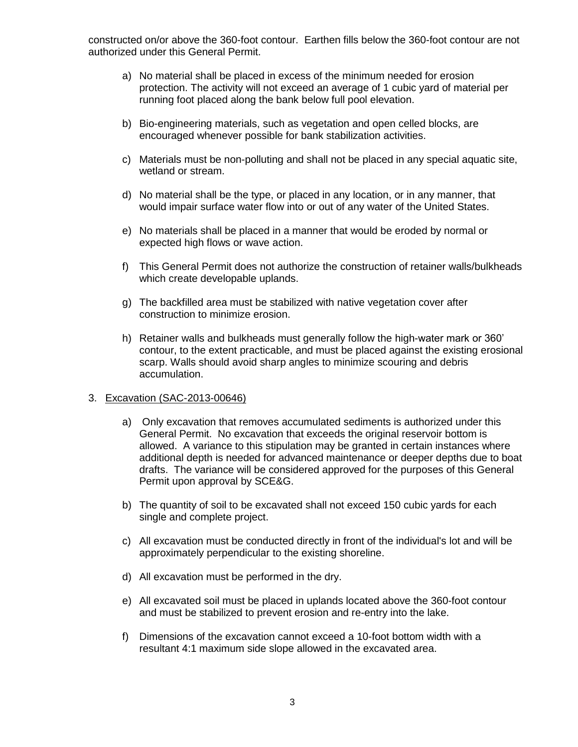constructed on/or above the 360-foot contour. Earthen fills below the 360-foot contour are not authorized under this General Permit.

- a) No material shall be placed in excess of the minimum needed for erosion protection. The activity will not exceed an average of 1 cubic yard of material per running foot placed along the bank below full pool elevation.
- b) Bio-engineering materials, such as vegetation and open celled blocks, are encouraged whenever possible for bank stabilization activities.
- c) Materials must be non-polluting and shall not be placed in any special aquatic site, wetland or stream.
- d) No material shall be the type, or placed in any location, or in any manner, that would impair surface water flow into or out of any water of the United States.
- e) No materials shall be placed in a manner that would be eroded by normal or expected high flows or wave action.
- f) This General Permit does not authorize the construction of retainer walls/bulkheads which create developable uplands.
- g) The backfilled area must be stabilized with native vegetation cover after construction to minimize erosion.
- h) Retainer walls and bulkheads must generally follow the high-water mark or 360' contour, to the extent practicable, and must be placed against the existing erosional scarp. Walls should avoid sharp angles to minimize scouring and debris accumulation.

### 3. Excavation (SAC-2013-00646)

- a) Only excavation that removes accumulated sediments is authorized under this General Permit. No excavation that exceeds the original reservoir bottom is allowed. A variance to this stipulation may be granted in certain instances where additional depth is needed for advanced maintenance or deeper depths due to boat drafts. The variance will be considered approved for the purposes of this General Permit upon approval by SCE&G.
- b) The quantity of soil to be excavated shall not exceed 150 cubic yards for each single and complete project.
- c) All excavation must be conducted directly in front of the individual's lot and will be approximately perpendicular to the existing shoreline.
- d) All excavation must be performed in the dry.
- e) All excavated soil must be placed in uplands located above the 360-foot contour and must be stabilized to prevent erosion and re-entry into the lake.
- f) Dimensions of the excavation cannot exceed a 10-foot bottom width with a resultant 4:1 maximum side slope allowed in the excavated area.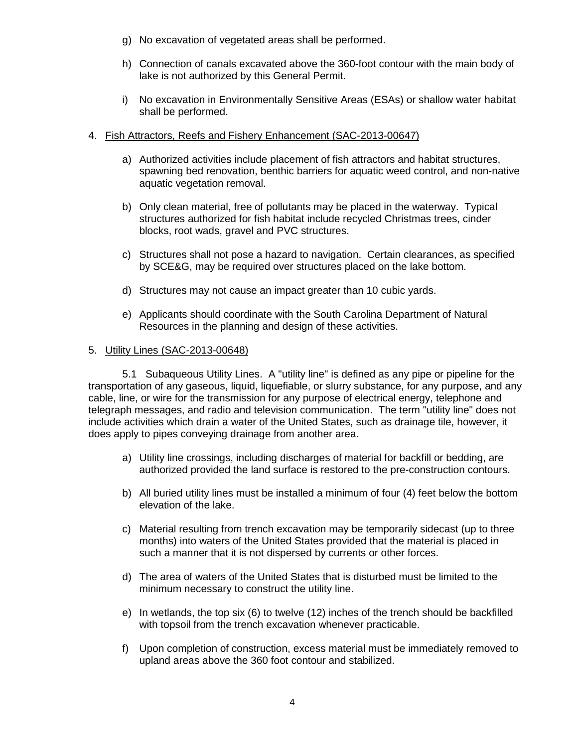- g) No excavation of vegetated areas shall be performed.
- h) Connection of canals excavated above the 360-foot contour with the main body of lake is not authorized by this General Permit.
- i) No excavation in Environmentally Sensitive Areas (ESAs) or shallow water habitat shall be performed.

### 4. Fish Attractors, Reefs and Fishery Enhancement (SAC-2013-00647)

- a) Authorized activities include placement of fish attractors and habitat structures, spawning bed renovation, benthic barriers for aquatic weed control, and non-native aquatic vegetation removal.
- b) Only clean material, free of pollutants may be placed in the waterway. Typical structures authorized for fish habitat include recycled Christmas trees, cinder blocks, root wads, gravel and PVC structures.
- c) Structures shall not pose a hazard to navigation. Certain clearances, as specified by SCE&G, may be required over structures placed on the lake bottom.
- d) Structures may not cause an impact greater than 10 cubic yards.
- e) Applicants should coordinate with the South Carolina Department of Natural Resources in the planning and design of these activities.

### 5. Utility Lines (SAC-2013-00648)

5.1 Subaqueous Utility Lines. A "utility line" is defined as any pipe or pipeline for the transportation of any gaseous, liquid, liquefiable, or slurry substance, for any purpose, and any cable, line, or wire for the transmission for any purpose of electrical energy, telephone and telegraph messages, and radio and television communication. The term "utility line" does not include activities which drain a water of the United States, such as drainage tile, however, it does apply to pipes conveying drainage from another area.

- a) Utility line crossings, including discharges of material for backfill or bedding, are authorized provided the land surface is restored to the pre-construction contours.
- b) All buried utility lines must be installed a minimum of four (4) feet below the bottom elevation of the lake.
- c) Material resulting from trench excavation may be temporarily sidecast (up to three months) into waters of the United States provided that the material is placed in such a manner that it is not dispersed by currents or other forces.
- d) The area of waters of the United States that is disturbed must be limited to the minimum necessary to construct the utility line.
- e) In wetlands, the top six (6) to twelve (12) inches of the trench should be backfilled with topsoil from the trench excavation whenever practicable.
- f) Upon completion of construction, excess material must be immediately removed to upland areas above the 360 foot contour and stabilized.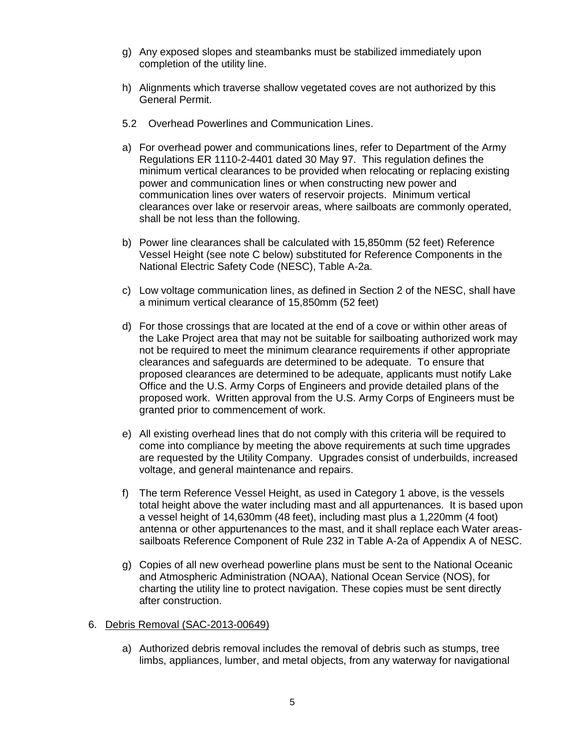- g) Any exposed slopes and steambanks must be stabilized immediately upon completion of the utility line.
- h) Alignments which traverse shallow vegetated coves are not authorized by this General Permit.
- 5.2 Overhead Powerlines and Communication Lines.
- a) For overhead power and communications lines, refer to Department of the Army Regulations ER 1110-2-4401 dated 30 May 97. This regulation defines the minimum vertical clearances to be provided when relocating or replacing existing power and communication lines or when constructing new power and communication lines over waters of reservoir projects. Minimum vertical clearances over lake or reservoir areas, where sailboats are commonly operated, shall be not less than the following.
- b) Power line clearances shall be calculated with 15,850mm (52 feet) Reference Vessel Height (see note C below) substituted for Reference Components in the National Electric Safety Code (NESC), Table A-2a.
- c) Low voltage communication lines, as defined in Section 2 of the NESC, shall have a minimum vertical clearance of 15,850mm (52 feet)
- d) For those crossings that are located at the end of a cove or within other areas of the Lake Project area that may not be suitable for sailboating authorized work may not be required to meet the minimum clearance requirements if other appropriate clearances and safeguards are determined to be adequate. To ensure that proposed clearances are determined to be adequate, applicants must notify Lake Office and the U.S. Army Corps of Engineers and provide detailed plans of the proposed work. Written approval from the U.S. Army Corps of Engineers must be granted prior to commencement of work.
- e) All existing overhead lines that do not comply with this criteria will be required to come into compliance by meeting the above requirements at such time upgrades are requested by the Utility Company. Upgrades consist of underbuilds, increased voltage, and general maintenance and repairs.
- f) The term Reference Vessel Height, as used in Category 1 above, is the vessels total height above the water including mast and all appurtenances. It is based upon a vessel height of 14,630mm (48 feet), including mast plus a 1,220mm (4 foot) antenna or other appurtenances to the mast, and it shall replace each Water areassailboats Reference Component of Rule 232 in Table A-2a of Appendix A of NESC.
- g) Copies of all new overhead powerline plans must be sent to the National Oceanic and Atmospheric Administration (NOAA), National Ocean Service (NOS), for charting the utility line to protect navigation. These copies must be sent directly after construction.

### 6. Debris Removal (SAC-2013-00649)

a) Authorized debris removal includes the removal of debris such as stumps, tree limbs, appliances, lumber, and metal objects, from any waterway for navigational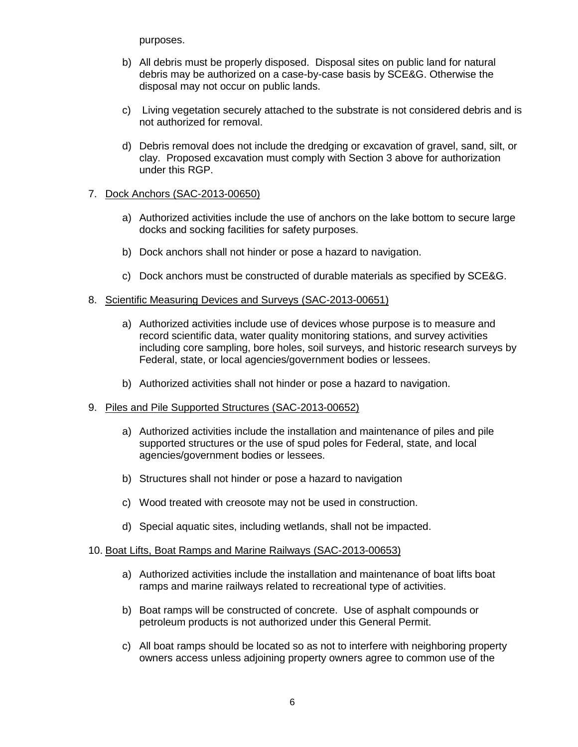purposes.

- b) All debris must be properly disposed. Disposal sites on public land for natural debris may be authorized on a case-by-case basis by SCE&G. Otherwise the disposal may not occur on public lands.
- c) Living vegetation securely attached to the substrate is not considered debris and is not authorized for removal.
- d) Debris removal does not include the dredging or excavation of gravel, sand, silt, or clay. Proposed excavation must comply with Section 3 above for authorization under this RGP.

# 7. Dock Anchors (SAC-2013-00650)

- a) Authorized activities include the use of anchors on the lake bottom to secure large docks and socking facilities for safety purposes.
- b) Dock anchors shall not hinder or pose a hazard to navigation.
- c) Dock anchors must be constructed of durable materials as specified by SCE&G.

### 8. Scientific Measuring Devices and Surveys (SAC-2013-00651)

- a) Authorized activities include use of devices whose purpose is to measure and record scientific data, water quality monitoring stations, and survey activities including core sampling, bore holes, soil surveys, and historic research surveys by Federal, state, or local agencies/government bodies or lessees.
- b) Authorized activities shall not hinder or pose a hazard to navigation.

### 9. Piles and Pile Supported Structures (SAC-2013-00652)

- a) Authorized activities include the installation and maintenance of piles and pile supported structures or the use of spud poles for Federal, state, and local agencies/government bodies or lessees.
- b) Structures shall not hinder or pose a hazard to navigation
- c) Wood treated with creosote may not be used in construction.
- d) Special aquatic sites, including wetlands, shall not be impacted.

### 10. Boat Lifts, Boat Ramps and Marine Railways (SAC-2013-00653)

- a) Authorized activities include the installation and maintenance of boat lifts boat ramps and marine railways related to recreational type of activities.
- b) Boat ramps will be constructed of concrete. Use of asphalt compounds or petroleum products is not authorized under this General Permit.
- c) All boat ramps should be located so as not to interfere with neighboring property owners access unless adjoining property owners agree to common use of the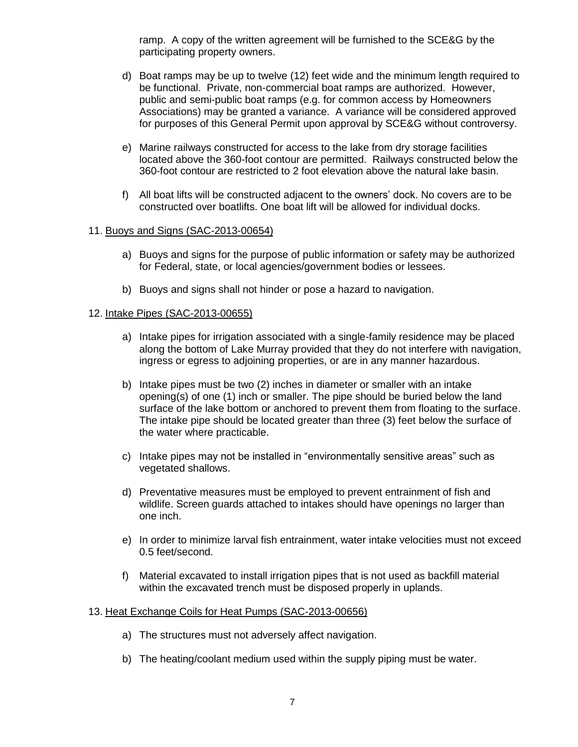ramp. A copy of the written agreement will be furnished to the SCE&G by the participating property owners.

- d) Boat ramps may be up to twelve (12) feet wide and the minimum length required to be functional. Private, non-commercial boat ramps are authorized. However, public and semi-public boat ramps (e.g. for common access by Homeowners Associations) may be granted a variance. A variance will be considered approved for purposes of this General Permit upon approval by SCE&G without controversy.
- e) Marine railways constructed for access to the lake from dry storage facilities located above the 360-foot contour are permitted. Railways constructed below the 360-foot contour are restricted to 2 foot elevation above the natural lake basin.
- f) All boat lifts will be constructed adjacent to the owners' dock. No covers are to be constructed over boatlifts. One boat lift will be allowed for individual docks.

# 11. Buoys and Signs (SAC-2013-00654)

- a) Buoys and signs for the purpose of public information or safety may be authorized for Federal, state, or local agencies/government bodies or lessees.
- b) Buoys and signs shall not hinder or pose a hazard to navigation.

### 12. Intake Pipes (SAC-2013-00655)

- a) Intake pipes for irrigation associated with a single-family residence may be placed along the bottom of Lake Murray provided that they do not interfere with navigation, ingress or egress to adjoining properties, or are in any manner hazardous.
- b) Intake pipes must be two (2) inches in diameter or smaller with an intake opening(s) of one (1) inch or smaller. The pipe should be buried below the land surface of the lake bottom or anchored to prevent them from floating to the surface. The intake pipe should be located greater than three (3) feet below the surface of the water where practicable.
- c) Intake pipes may not be installed in "environmentally sensitive areas" such as vegetated shallows.
- d) Preventative measures must be employed to prevent entrainment of fish and wildlife. Screen guards attached to intakes should have openings no larger than one inch.
- e) In order to minimize larval fish entrainment, water intake velocities must not exceed 0.5 feet/second.
- f) Material excavated to install irrigation pipes that is not used as backfill material within the excavated trench must be disposed properly in uplands.

### 13. Heat Exchange Coils for Heat Pumps (SAC-2013-00656)

- a) The structures must not adversely affect navigation.
- b) The heating/coolant medium used within the supply piping must be water.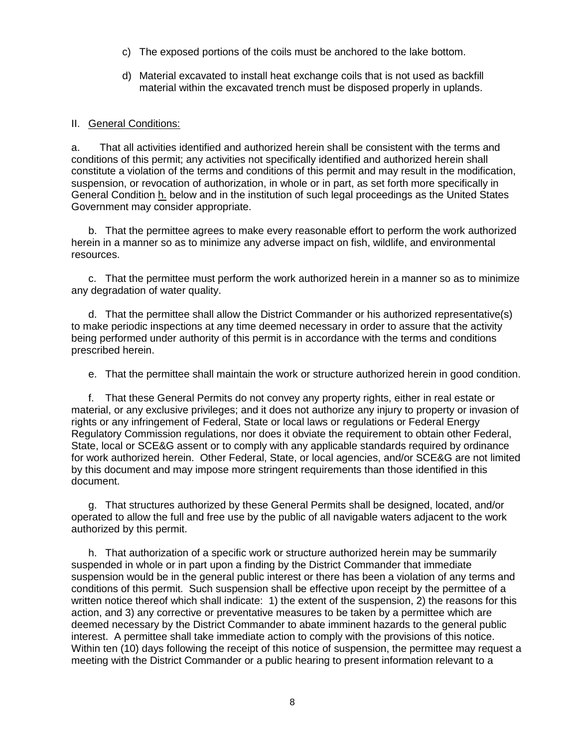- c) The exposed portions of the coils must be anchored to the lake bottom.
- d) Material excavated to install heat exchange coils that is not used as backfill material within the excavated trench must be disposed properly in uplands.

### II. General Conditions:

a. That all activities identified and authorized herein shall be consistent with the terms and conditions of this permit; any activities not specifically identified and authorized herein shall constitute a violation of the terms and conditions of this permit and may result in the modification, suspension, or revocation of authorization, in whole or in part, as set forth more specifically in General Condition h. below and in the institution of such legal proceedings as the United States Government may consider appropriate.

b. That the permittee agrees to make every reasonable effort to perform the work authorized herein in a manner so as to minimize any adverse impact on fish, wildlife, and environmental resources.

c. That the permittee must perform the work authorized herein in a manner so as to minimize any degradation of water quality.

d. That the permittee shall allow the District Commander or his authorized representative(s) to make periodic inspections at any time deemed necessary in order to assure that the activity being performed under authority of this permit is in accordance with the terms and conditions prescribed herein.

e. That the permittee shall maintain the work or structure authorized herein in good condition.

f. That these General Permits do not convey any property rights, either in real estate or material, or any exclusive privileges; and it does not authorize any injury to property or invasion of rights or any infringement of Federal, State or local laws or regulations or Federal Energy Regulatory Commission regulations, nor does it obviate the requirement to obtain other Federal, State, local or SCE&G assent or to comply with any applicable standards required by ordinance for work authorized herein. Other Federal, State, or local agencies, and/or SCE&G are not limited by this document and may impose more stringent requirements than those identified in this document.

g. That structures authorized by these General Permits shall be designed, located, and/or operated to allow the full and free use by the public of all navigable waters adjacent to the work authorized by this permit.

h. That authorization of a specific work or structure authorized herein may be summarily suspended in whole or in part upon a finding by the District Commander that immediate suspension would be in the general public interest or there has been a violation of any terms and conditions of this permit. Such suspension shall be effective upon receipt by the permittee of a written notice thereof which shall indicate: 1) the extent of the suspension, 2) the reasons for this action, and 3) any corrective or preventative measures to be taken by a permittee which are deemed necessary by the District Commander to abate imminent hazards to the general public interest. A permittee shall take immediate action to comply with the provisions of this notice. Within ten (10) days following the receipt of this notice of suspension, the permittee may request a meeting with the District Commander or a public hearing to present information relevant to a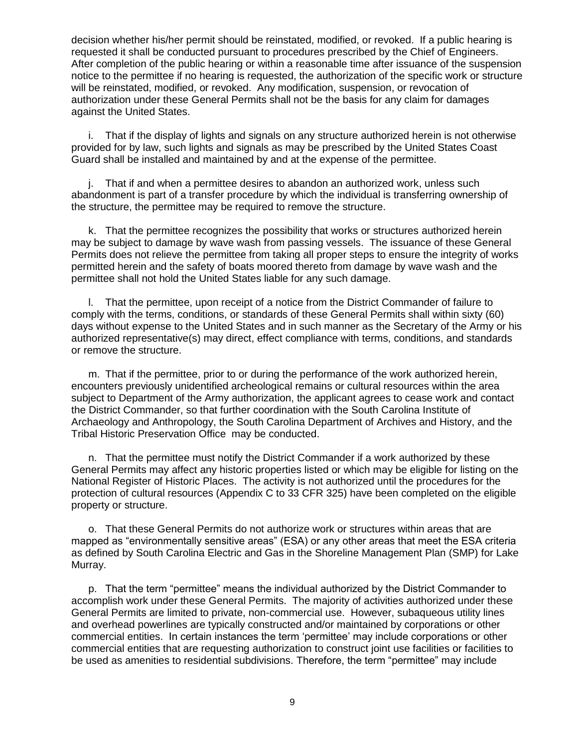decision whether his/her permit should be reinstated, modified, or revoked. If a public hearing is requested it shall be conducted pursuant to procedures prescribed by the Chief of Engineers. After completion of the public hearing or within a reasonable time after issuance of the suspension notice to the permittee if no hearing is requested, the authorization of the specific work or structure will be reinstated, modified, or revoked. Any modification, suspension, or revocation of authorization under these General Permits shall not be the basis for any claim for damages against the United States.

i. That if the display of lights and signals on any structure authorized herein is not otherwise provided for by law, such lights and signals as may be prescribed by the United States Coast Guard shall be installed and maintained by and at the expense of the permittee.

j. That if and when a permittee desires to abandon an authorized work, unless such abandonment is part of a transfer procedure by which the individual is transferring ownership of the structure, the permittee may be required to remove the structure.

k. That the permittee recognizes the possibility that works or structures authorized herein may be subject to damage by wave wash from passing vessels. The issuance of these General Permits does not relieve the permittee from taking all proper steps to ensure the integrity of works permitted herein and the safety of boats moored thereto from damage by wave wash and the permittee shall not hold the United States liable for any such damage.

l. That the permittee, upon receipt of a notice from the District Commander of failure to comply with the terms, conditions, or standards of these General Permits shall within sixty (60) days without expense to the United States and in such manner as the Secretary of the Army or his authorized representative(s) may direct, effect compliance with terms, conditions, and standards or remove the structure.

m. That if the permittee, prior to or during the performance of the work authorized herein, encounters previously unidentified archeological remains or cultural resources within the area subject to Department of the Army authorization, the applicant agrees to cease work and contact the District Commander, so that further coordination with the South Carolina Institute of Archaeology and Anthropology, the South Carolina Department of Archives and History, and the Tribal Historic Preservation Office may be conducted.

n. That the permittee must notify the District Commander if a work authorized by these General Permits may affect any historic properties listed or which may be eligible for listing on the National Register of Historic Places. The activity is not authorized until the procedures for the protection of cultural resources (Appendix C to 33 CFR 325) have been completed on the eligible property or structure.

o. That these General Permits do not authorize work or structures within areas that are mapped as "environmentally sensitive areas" (ESA) or any other areas that meet the ESA criteria as defined by South Carolina Electric and Gas in the Shoreline Management Plan (SMP) for Lake Murray.

p. That the term "permittee" means the individual authorized by the District Commander to accomplish work under these General Permits. The majority of activities authorized under these General Permits are limited to private, non-commercial use. However, subaqueous utility lines and overhead powerlines are typically constructed and/or maintained by corporations or other commercial entities. In certain instances the term 'permittee' may include corporations or other commercial entities that are requesting authorization to construct joint use facilities or facilities to be used as amenities to residential subdivisions. Therefore, the term "permittee" may include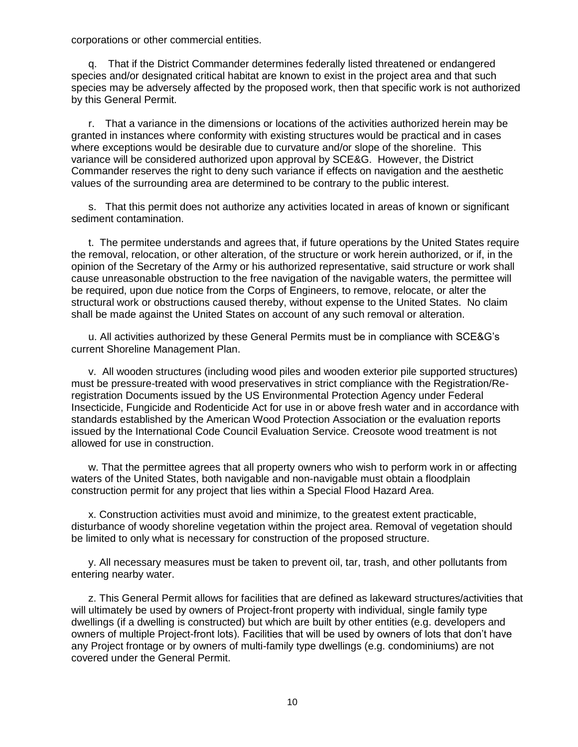corporations or other commercial entities.

q. That if the District Commander determines federally listed threatened or endangered species and/or designated critical habitat are known to exist in the project area and that such species may be adversely affected by the proposed work, then that specific work is not authorized by this General Permit.

r. That a variance in the dimensions or locations of the activities authorized herein may be granted in instances where conformity with existing structures would be practical and in cases where exceptions would be desirable due to curvature and/or slope of the shoreline. This variance will be considered authorized upon approval by SCE&G. However, the District Commander reserves the right to deny such variance if effects on navigation and the aesthetic values of the surrounding area are determined to be contrary to the public interest.

s. That this permit does not authorize any activities located in areas of known or significant sediment contamination.

t. The permitee understands and agrees that, if future operations by the United States require the removal, relocation, or other alteration, of the structure or work herein authorized, or if, in the opinion of the Secretary of the Army or his authorized representative, said structure or work shall cause unreasonable obstruction to the free navigation of the navigable waters, the permittee will be required, upon due notice from the Corps of Engineers, to remove, relocate, or alter the structural work or obstructions caused thereby, without expense to the United States. No claim shall be made against the United States on account of any such removal or alteration.

u. All activities authorized by these General Permits must be in compliance with SCE&G's current Shoreline Management Plan.

v. All wooden structures (including wood piles and wooden exterior pile supported structures) must be pressure-treated with wood preservatives in strict compliance with the Registration/Reregistration Documents issued by the US Environmental Protection Agency under Federal Insecticide, Fungicide and Rodenticide Act for use in or above fresh water and in accordance with standards established by the American Wood Protection Association or the evaluation reports issued by the International Code Council Evaluation Service. Creosote wood treatment is not allowed for use in construction.

w. That the permittee agrees that all property owners who wish to perform work in or affecting waters of the United States, both navigable and non-navigable must obtain a floodplain construction permit for any project that lies within a Special Flood Hazard Area.

x. Construction activities must avoid and minimize, to the greatest extent practicable, disturbance of woody shoreline vegetation within the project area. Removal of vegetation should be limited to only what is necessary for construction of the proposed structure.

y. All necessary measures must be taken to prevent oil, tar, trash, and other pollutants from entering nearby water.

z. This General Permit allows for facilities that are defined as lakeward structures/activities that will ultimately be used by owners of Project-front property with individual, single family type dwellings (if a dwelling is constructed) but which are built by other entities (e.g. developers and owners of multiple Project-front lots). Facilities that will be used by owners of lots that don't have any Project frontage or by owners of multi-family type dwellings (e.g. condominiums) are not covered under the General Permit.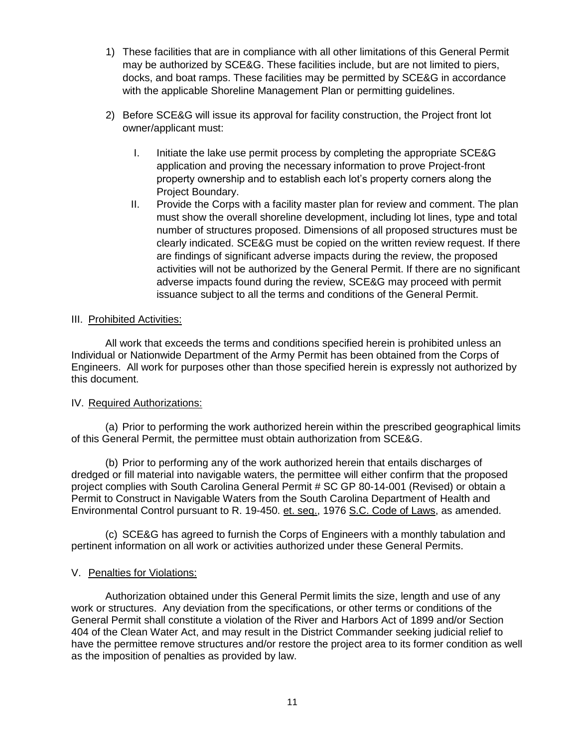- 1) These facilities that are in compliance with all other limitations of this General Permit may be authorized by SCE&G. These facilities include, but are not limited to piers, docks, and boat ramps. These facilities may be permitted by SCE&G in accordance with the applicable Shoreline Management Plan or permitting guidelines.
- 2) Before SCE&G will issue its approval for facility construction, the Project front lot owner/applicant must:
	- I. Initiate the lake use permit process by completing the appropriate SCE&G application and proving the necessary information to prove Project-front property ownership and to establish each lot's property corners along the Project Boundary.
	- II. Provide the Corps with a facility master plan for review and comment. The plan must show the overall shoreline development, including lot lines, type and total number of structures proposed. Dimensions of all proposed structures must be clearly indicated. SCE&G must be copied on the written review request. If there are findings of significant adverse impacts during the review, the proposed activities will not be authorized by the General Permit. If there are no significant adverse impacts found during the review, SCE&G may proceed with permit issuance subject to all the terms and conditions of the General Permit.

### III. Prohibited Activities:

All work that exceeds the terms and conditions specified herein is prohibited unless an Individual or Nationwide Department of the Army Permit has been obtained from the Corps of Engineers. All work for purposes other than those specified herein is expressly not authorized by this document.

# IV. Required Authorizations:

(a) Prior to performing the work authorized herein within the prescribed geographical limits of this General Permit, the permittee must obtain authorization from SCE&G.

(b) Prior to performing any of the work authorized herein that entails discharges of dredged or fill material into navigable waters, the permittee will either confirm that the proposed project complies with South Carolina General Permit # SC GP 80-14-001 (Revised) or obtain a Permit to Construct in Navigable Waters from the South Carolina Department of Health and Environmental Control pursuant to R. 19-450. et. seq., 1976 S.C. Code of Laws, as amended.

(c) SCE&G has agreed to furnish the Corps of Engineers with a monthly tabulation and pertinent information on all work or activities authorized under these General Permits.

# V. Penalties for Violations:

Authorization obtained under this General Permit limits the size, length and use of any work or structures. Any deviation from the specifications, or other terms or conditions of the General Permit shall constitute a violation of the River and Harbors Act of 1899 and/or Section 404 of the Clean Water Act, and may result in the District Commander seeking judicial relief to have the permittee remove structures and/or restore the project area to its former condition as well as the imposition of penalties as provided by law.